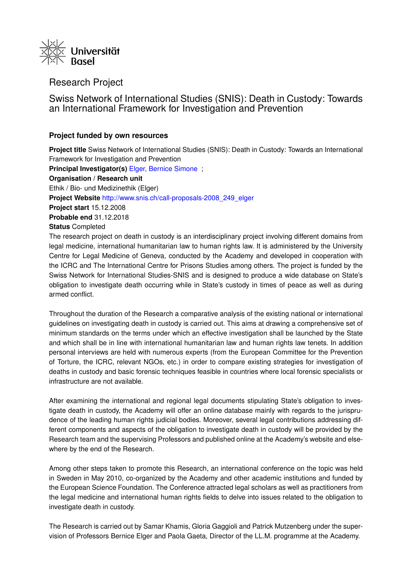

# Research Project

Swiss Network of International Studies (SNIS): Death in Custody: Towards an International Framework for Investigation and Prevention

## **Project funded by own resources**

infrastructure are not available.

**Project title** Swiss Network of International Studies (SNIS): Death in Custody: Towards an International Framework for Investigation and Prevention **Principal Investigator(s)** [Elger, Bernice Simone](https://forschdb2.unibas.ch/inf2/profiles_view/profile_view.php?pid=4dbe2121d1ce2&int=2) ; **Organisation / Research unit** Ethik / Bio- und Medizinethik (Elger) **Project Website** [http://www.snis.ch/call-proposals-2008\\_249\\_elger](http://www.snis.ch/call-proposals-2008_249_elger) **Project start** 15.12.2008 **Probable end** 31.12.2018 **Status** Completed The research project on death in custody is an interdisciplinary project involving different domains from legal medicine, international humanitarian law to human rights law. It is administered by the University Centre for Legal Medicine of Geneva, conducted by the Academy and developed in cooperation with the ICRC and The International Centre for Prisons Studies among others. The project is funded by the Swiss Network for International Studies-SNIS and is designed to produce a wide database on State's

armed conflict. Throughout the duration of the Research a comparative analysis of the existing national or international guidelines on investigating death in custody is carried out. This aims at drawing a comprehensive set of minimum standards on the terms under which an effective investigation shall be launched by the State and which shall be in line with international humanitarian law and human rights law tenets. In addition personal interviews are held with numerous experts (from the European Committee for the Prevention of Torture, the ICRC, relevant NGOs, etc.) in order to compare existing strategies for investigation of deaths in custody and basic forensic techniques feasible in countries where local forensic specialists or

obligation to investigate death occurring while in State's custody in times of peace as well as during

After examining the international and regional legal documents stipulating State's obligation to investigate death in custody, the Academy will offer an online database mainly with regards to the jurisprudence of the leading human rights judicial bodies. Moreover, several legal contributions addressing different components and aspects of the obligation to investigate death in custody will be provided by the Research team and the supervising Professors and published online at the Academy's website and elsewhere by the end of the Research.

Among other steps taken to promote this Research, an international conference on the topic was held in Sweden in May 2010, co-organized by the Academy and other academic institutions and funded by the European Science Foundation. The Conference attracted legal scholars as well as practitioners from the legal medicine and international human rights fields to delve into issues related to the obligation to investigate death in custody.

The Research is carried out by Samar Khamis, Gloria Gaggioli and Patrick Mutzenberg under the supervision of Professors Bernice Elger and Paola Gaeta, Director of the LL.M. programme at the Academy.